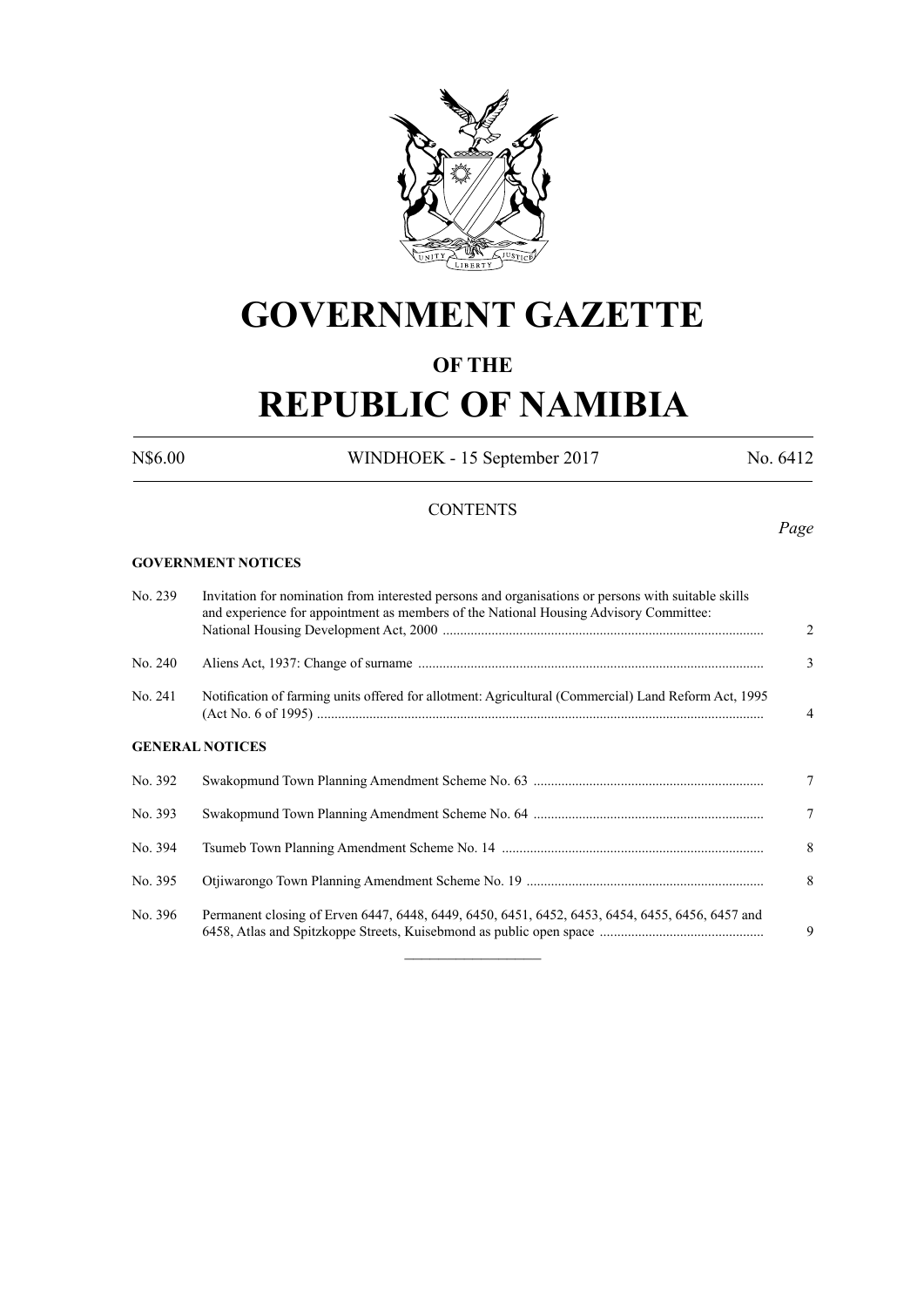

# **GOVERNMENT GAZETTE**

## **OF THE**

# **REPUBLIC OF NAMIBIA**

N\$6.00 WINDHOEK - 15 September 2017 No. 6412

### **CONTENTS**

**GOVERNMENT NOTICES**

| No. 239 | Invitation for nomination from interested persons and organisations or persons with suitable skills<br>and experience for appointment as members of the National Housing Advisory Committee: | $\overline{2}$ |  |  |  |
|---------|----------------------------------------------------------------------------------------------------------------------------------------------------------------------------------------------|----------------|--|--|--|
| No. 240 |                                                                                                                                                                                              | 3              |  |  |  |
| No. 241 | Notification of farming units offered for allotment: Agricultural (Commercial) Land Reform Act, 1995                                                                                         |                |  |  |  |
|         | <b>GENERAL NOTICES</b>                                                                                                                                                                       |                |  |  |  |
| No. 392 |                                                                                                                                                                                              | 7              |  |  |  |
| No. 393 |                                                                                                                                                                                              | $\overline{7}$ |  |  |  |
| No. 394 |                                                                                                                                                                                              | 8              |  |  |  |
| No. 395 |                                                                                                                                                                                              | 8              |  |  |  |
| No. 396 | Permanent closing of Erven 6447, 6448, 6449, 6450, 6451, 6452, 6453, 6454, 6455, 6456, 6457 and                                                                                              | 9              |  |  |  |

*Page*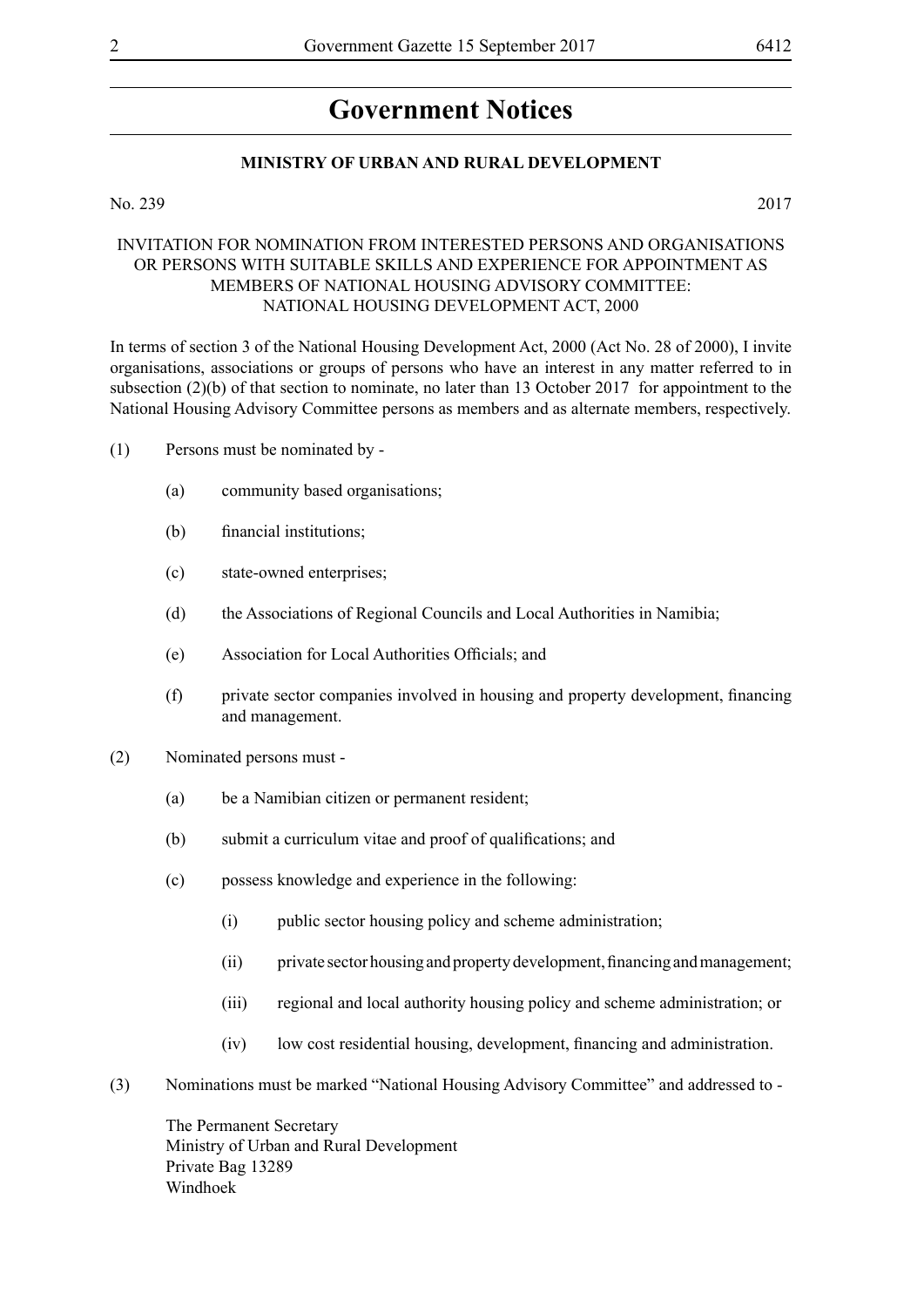## **Government Notices**

### **MINISTRY OF URBAN AND RURAL DEVELOPMENT**

### No. 239 2017

### INVITATION FOR NOMINATION FROM INTERESTED PERSONS AND ORGANISATIONS OR PERSONS WITH SUITABLE SKILLS AND EXPERIENCE FOR APPOINTMENT AS MEMBERS OF NATIONAL HOUSING ADVISORY COMMITTEE: NATIONAL HOUSING DEVELOPMENT ACT, 2000

In terms of section 3 of the National Housing Development Act, 2000 (Act No. 28 of 2000), I invite organisations, associations or groups of persons who have an interest in any matter referred to in subsection (2)(b) of that section to nominate, no later than 13 October 2017 for appointment to the National Housing Advisory Committee persons as members and as alternate members, respectively.

- (1) Persons must be nominated by
	- (a) community based organisations;
	- (b) financial institutions;
	- (c) state-owned enterprises;
	- (d) the Associations of Regional Councils and Local Authorities in Namibia;
	- (e) Association for Local Authorities Officials; and
	- (f) private sector companies involved in housing and property development, financing and management.
- (2) Nominated persons must
	- (a) be a Namibian citizen or permanent resident;
	- (b) submit a curriculum vitae and proof of qualifications; and
	- (c) possess knowledge and experience in the following:
		- (i) public sector housing policy and scheme administration;
		- (ii) private sector housing and property development, financing and management;
		- (iii) regional and local authority housing policy and scheme administration; or
		- (iv) low cost residential housing, development, financing and administration.
- (3) Nominations must be marked "National Housing Advisory Committee" and addressed to -

The Permanent Secretary Ministry of Urban and Rural Development Private Bag 13289 Windhoek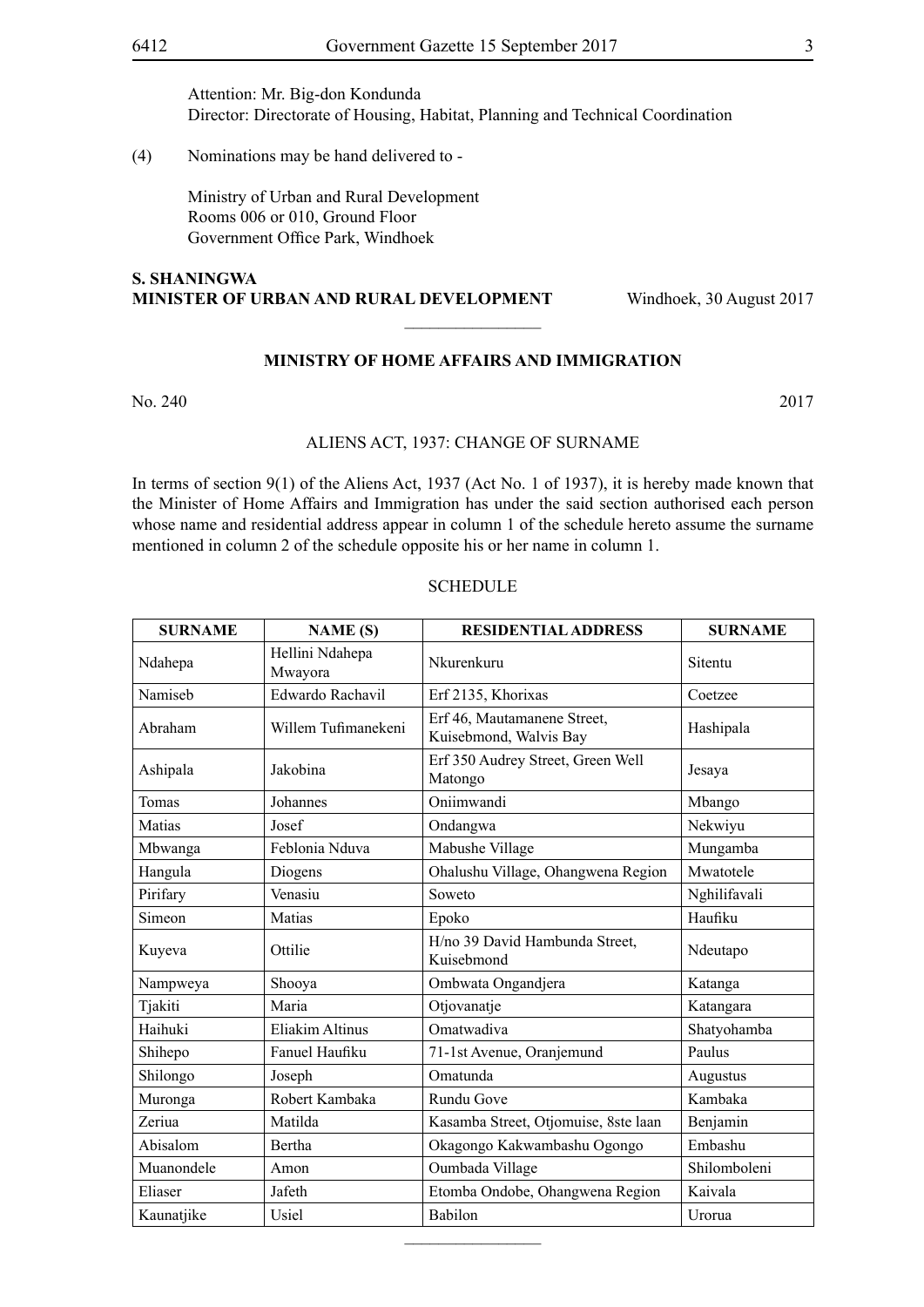Attention: Mr. Big-don Kondunda Director: Directorate of Housing, Habitat, Planning and Technical Coordination

(4) Nominations may be hand delivered to -

Ministry of Urban and Rural Development Rooms 006 or 010, Ground Floor Government Office Park, Windhoek

### **S. Shaningwa Minister of Urban and Rural Development** Windhoek, 30 August 2017

### **MINISTRY OF HOME AFFAIRS AND IMMIGRATION**

 $\overline{\phantom{a}}$  , where  $\overline{\phantom{a}}$ 

No. 240 2017

### ALIENS ACT, 1937: CHANGE OF SURNAME

In terms of section 9(1) of the Aliens Act, 1937 (Act No. 1 of 1937), it is hereby made known that the Minister of Home Affairs and Immigration has under the said section authorised each person whose name and residential address appear in column 1 of the schedule hereto assume the surname mentioned in column 2 of the schedule opposite his or her name in column 1.

### **SCHEDULE**

| <b>SURNAME</b> | <b>NAME</b> (S)            | <b>RESIDENTIAL ADDRESS</b>                            | <b>SURNAME</b> |
|----------------|----------------------------|-------------------------------------------------------|----------------|
| Ndahepa        | Hellini Ndahepa<br>Mwayora | Nkurenkuru                                            | Sitentu        |
| Namiseb        | Edwardo Rachavil           | Erf 2135, Khorixas                                    | Coetzee        |
| Abraham        | Willem Tufimanekeni        | Erf 46, Mautamanene Street,<br>Kuisebmond, Walvis Bay | Hashipala      |
| Ashipala       | Jakobina                   | Erf 350 Audrey Street, Green Well<br>Matongo          | Jesaya         |
| Tomas          | Johannes                   | Oniimwandi                                            | Mbango         |
| Matias         | Josef                      | Ondangwa                                              | Nekwiyu        |
| Mbwanga        | Feblonia Nduva             | Mabushe Village                                       | Mungamba       |
| Hangula        | Diogens                    | Ohalushu Village, Ohangwena Region                    | Mwatotele      |
| Pirifary       | Venasiu                    | Soweto                                                | Nghilifavali   |
| Simeon         | Matias                     | Epoko                                                 | Haufiku        |
| Kuyeva         | Ottilie                    | H/no 39 David Hambunda Street,<br>Kuisebmond          | Ndeutapo       |
| Nampweya       | Shooya                     | Ombwata Ongandjera                                    | Katanga        |
| Tjakiti        | Maria                      | Otjovanatje                                           | Katangara      |
| Haihuki        | Eliakim Altinus            | Omatwadiva                                            | Shatyohamba    |
| Shihepo        | Fanuel Haufiku             | 71-1st Avenue, Oranjemund                             | Paulus         |
| Shilongo       | Joseph                     | Omatunda                                              | Augustus       |
| Muronga        | Robert Kambaka             | Rundu Gove                                            | Kambaka        |
| Zeriua         | Matilda                    | Kasamba Street, Otjomuise, 8ste laan                  | Benjamin       |
| Abisalom       | Bertha                     | Okagongo Kakwambashu Ogongo                           | Embashu        |
| Muanondele     | Amon                       | Oumbada Village                                       | Shilomboleni   |
| Eliaser        | Jafeth                     | Etomba Ondobe, Ohangwena Region                       | Kaivala        |
| Kaunatjike     | Usiel                      | Babilon                                               | Urorua         |

 $\overline{\phantom{a}}$  , where  $\overline{\phantom{a}}$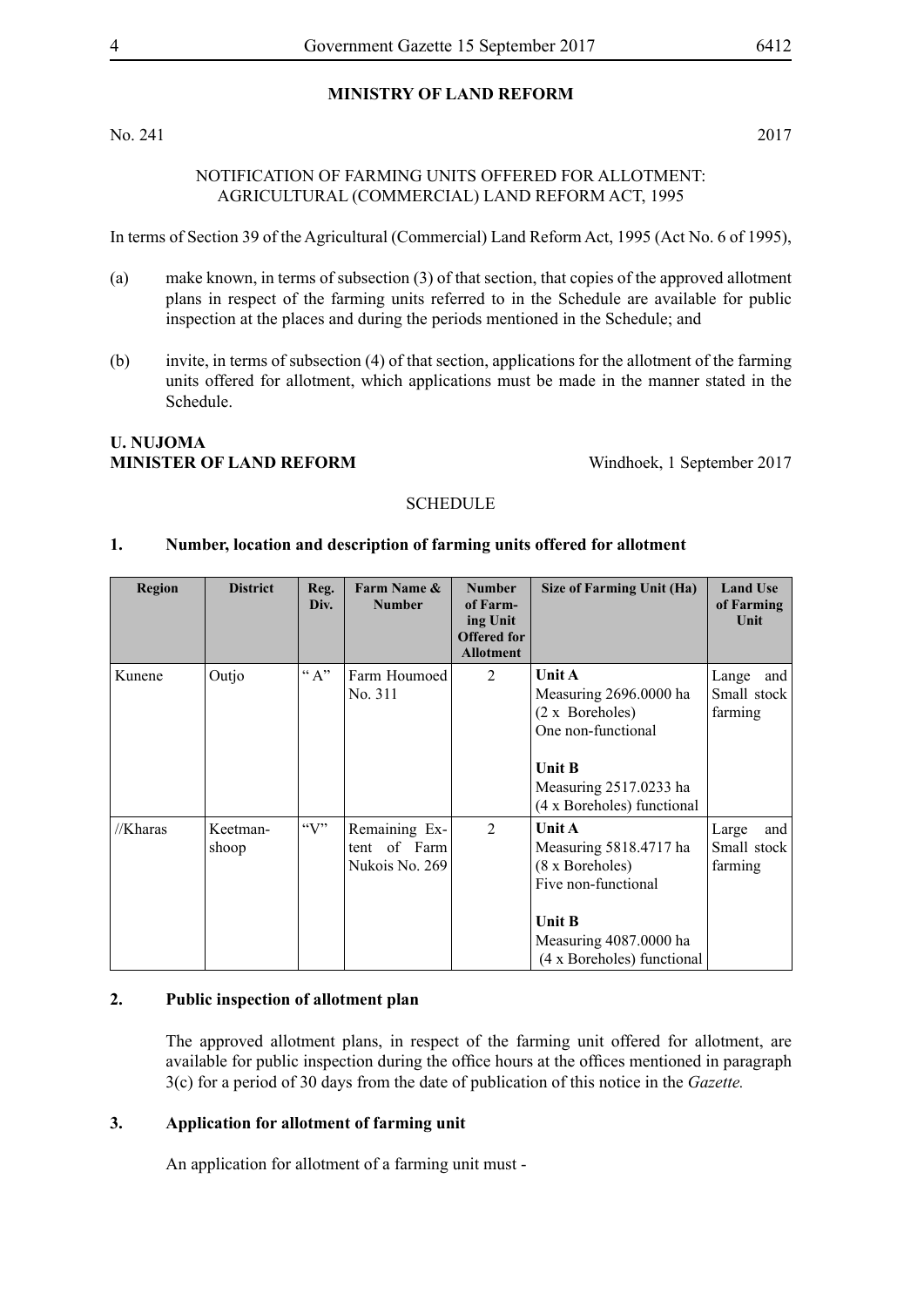### **MINISTRY OF LAND REFORM**

No. 241 2017

### NOTIFICATION OF FARMING UNITS OFFERED FOR ALLOTMENT: AGRICULTURAL (COMMERCIAL) LAND REFORM ACT, 1995

In terms of Section 39 of the Agricultural (Commercial) Land Reform Act, 1995 (Act No. 6 of 1995),

- (a) make known, in terms of subsection (3) of that section, that copies of the approved allotment plans in respect of the farming units referred to in the Schedule are available for public inspection at the places and during the periods mentioned in the Schedule; and
- (b) invite, in terms of subsection (4) of that section, applications for the allotment of the farming units offered for allotment, which applications must be made in the manner stated in the Schedule.

### **U. Nujoma MINISTER OF LAND REFORM** Windhoek, 1 September 2017

### **SCHEDULE**

### **1. Number, location and description of farming units offered for allotment**

| <b>Region</b> | <b>District</b>   | Reg.<br>Div. | Farm Name &<br><b>Number</b>                       | <b>Number</b><br>of Farm-<br>ing Unit<br><b>Offered for</b><br><b>Allotment</b> | Size of Farming Unit (Ha)                                                                                                                                 | <b>Land Use</b><br>of Farming<br>Unit    |
|---------------|-------------------|--------------|----------------------------------------------------|---------------------------------------------------------------------------------|-----------------------------------------------------------------------------------------------------------------------------------------------------------|------------------------------------------|
| Kunene        | Outjo             | $\lq\lq A$ " | Farm Houmoed<br>No. 311                            | 2                                                                               | Unit A<br>Measuring 2696.0000 ha<br>$(2 \times Boreholes)$<br>One non-functional<br><b>Unit B</b><br>Measuring 2517.0233 ha<br>(4 x Boreholes) functional | Lange<br>and<br>Small stock<br>farming   |
| //Kharas      | Keetman-<br>shoop | $\lq\lq V$   | Remaining Ex-<br>of Farm<br>tent<br>Nukois No. 269 | 2                                                                               | Unit A<br>Measuring 5818.4717 ha<br>(8 x Boreholes)<br>Five non-functional<br><b>Unit B</b><br>Measuring 4087.0000 ha<br>(4 x Boreholes) functional       | Large<br>and  <br>Small stock<br>farming |

### **2. Public inspection of allotment plan**

The approved allotment plans, in respect of the farming unit offered for allotment, are available for public inspection during the office hours at the offices mentioned in paragraph 3(c) for a period of 30 days from the date of publication of this notice in the *Gazette.*

### **3. Application for allotment of farming unit**

An application for allotment of a farming unit must -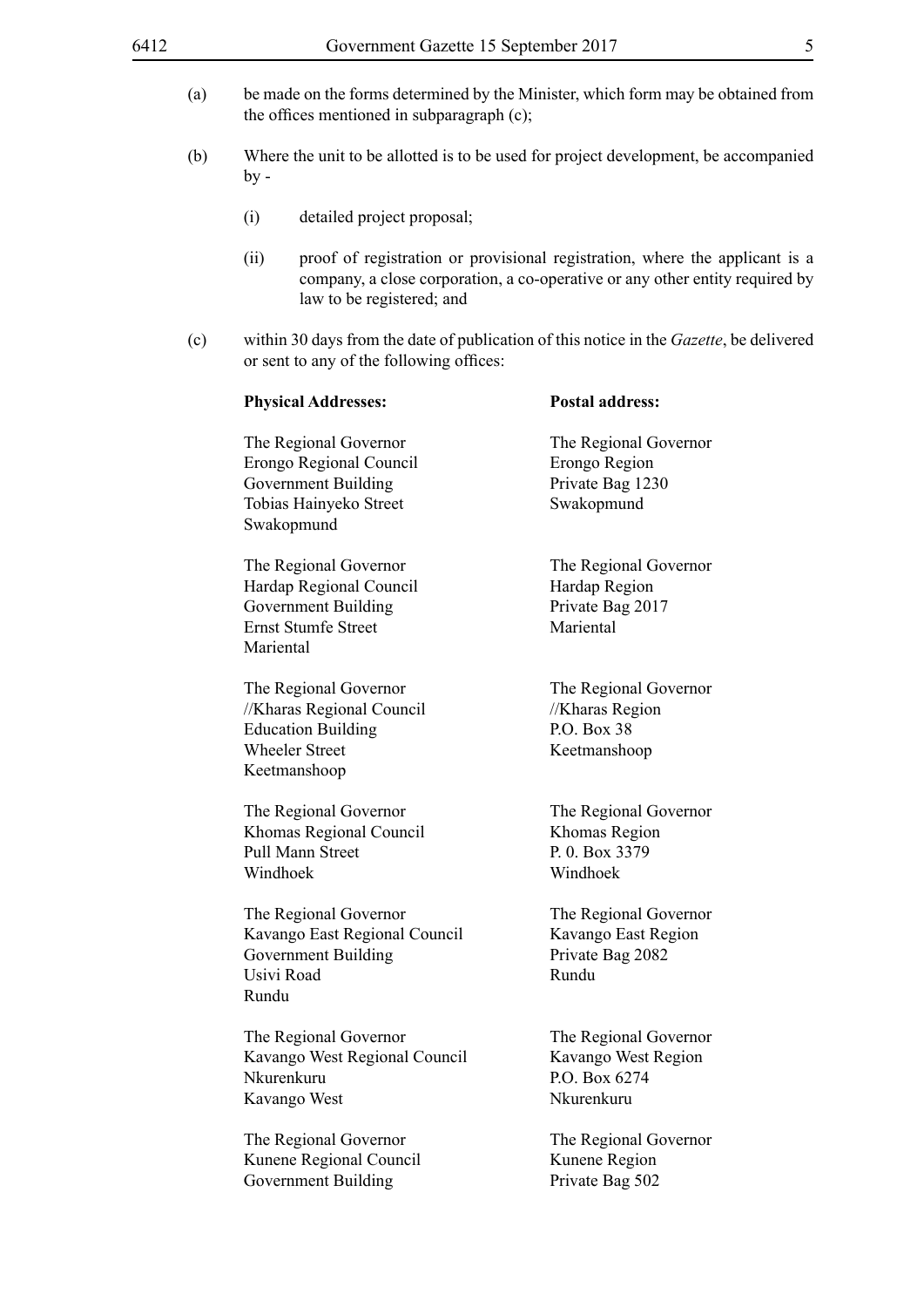- (a) be made on the forms determined by the Minister, which form may be obtained from the offices mentioned in subparagraph (c);
- (b) Where the unit to be allotted is to be used for project development, be accompanied  $by -$ 
	- (i) detailed project proposal;
	- (ii) proof of registration or provisional registration, where the applicant is a company, a close corporation, a co-operative or any other entity required by law to be registered; and
- (c) within 30 days from the date of publication of this notice in the *Gazette*, be delivered or sent to any of the following offices:

| <b>Physical Addresses:</b>                                                                                                | <b>Postal address:</b>                                                      |
|---------------------------------------------------------------------------------------------------------------------------|-----------------------------------------------------------------------------|
| The Regional Governor<br>Erongo Regional Council<br><b>Government Building</b><br>Tobias Hainyeko Street<br>Swakopmund    | The Regional Governor<br>Erongo Region<br>Private Bag 1230<br>Swakopmund    |
| The Regional Governor<br>Hardap Regional Council<br><b>Government Building</b><br><b>Ernst Stumfe Street</b><br>Mariental | The Regional Governor<br>Hardap Region<br>Private Bag 2017<br>Mariental     |
| The Regional Governor<br>//Kharas Regional Council<br><b>Education Building</b><br><b>Wheeler Street</b><br>Keetmanshoop  | The Regional Governor<br>//Kharas Region<br>P.O. Box 38<br>Keetmanshoop     |
| The Regional Governor<br>Khomas Regional Council<br><b>Pull Mann Street</b><br>Windhoek                                   | The Regional Governor<br>Khomas Region<br>P. 0. Box 3379<br>Windhoek        |
| The Regional Governor<br>Kavango East Regional Council<br><b>Government Building</b><br>Usivi Road<br>Rundu               | The Regional Governor<br>Kavango East Region<br>Private Bag 2082<br>Rundu   |
| The Regional Governor<br>Kavango West Regional Council<br>Nkurenkuru<br>Kavango West                                      | The Regional Governor<br>Kavango West Region<br>P.O. Box 6274<br>Nkurenkuru |
| The Regional Governor<br>Kunene Regional Council<br><b>Government Building</b>                                            | The Regional Governor<br>Kunene Region<br>Private Bag 502                   |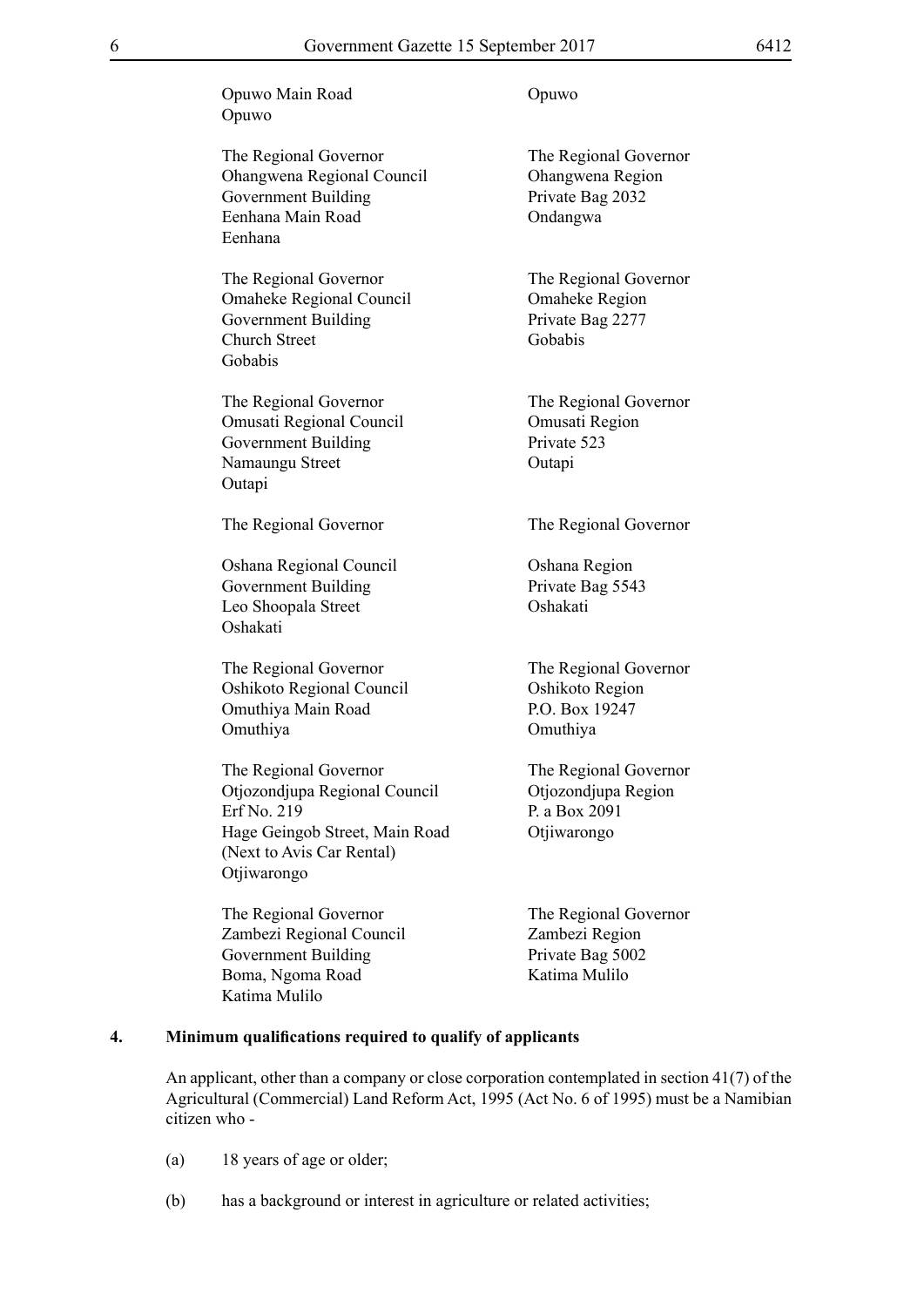Opuwo Main Road Opuwo Opuwo

The Regional Governor The Regional Governor Ohangwena Regional Council Ohangwena Region Government Building Private Bag 2032 Eenhana Main Road Ondangwa Eenhana

The Regional Governor<br>The Regional Governor Omaheke Regional Council Omaheke Region Government Building Private Bag 2277 Church Street Gobabis Gobabis

The Regional Governor The Regional Governor Omusati Regional Council Omusati Region Government Building Private 523 Namaungu Street **Outapi Outapi** 

The Regional Governor The Regional Governor

Oshana Regional Council Oshana Region Government Building Private Bag 5543 Leo Shoopala Street **Oshakati** Oshakati

The Regional Governor<br>
Oshikoto Regional Council<br>
Oshikoto Region Oshikoto Regional Council Omuthiya Main Road P.O. Box 19247 Omuthiya Omuthiya

The Regional Governor The Regional Governor Otjozondjupa Regional Council Otjozondjupa Region Erf No. 219 P. a Box 2091 Hage Geingob Street, Main Road Otjiwarongo (Next to Avis Car Rental) Otjiwarongo

The Regional Governor The Regional Governor Zambezi Regional Council Zambezi Region Government Building Private Bag 5002 Boma, Ngoma Road Katima Mulilo Katima Mulilo

### **4. Minimum qualifications required to qualify of applicants**

An applicant, other than a company or close corporation contemplated in section 41(7) of the Agricultural (Commercial) Land Reform Act, 1995 (Act No. 6 of 1995) must be a Namibian citizen who -

- (a) 18 years of age or older;
- (b) has a background or interest in agriculture or related activities;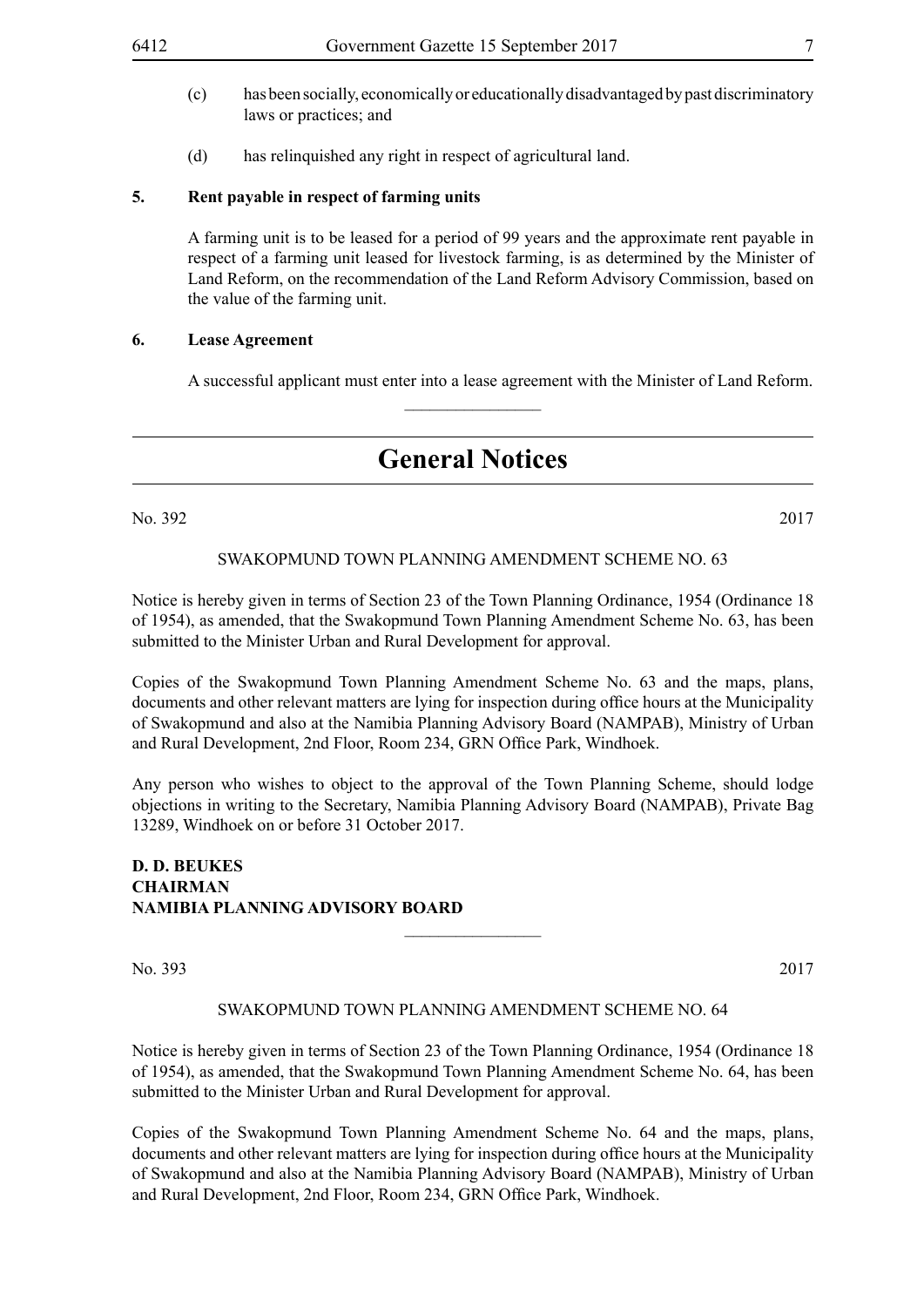- (c) has been socially, economically or educationally disadvantaged by past discriminatory laws or practices; and
- (d) has relinquished any right in respect of agricultural land.

### **5. Rent payable in respect of farming units**

A farming unit is to be leased for a period of 99 years and the approximate rent payable in respect of a farming unit leased for livestock farming, is as determined by the Minister of Land Reform, on the recommendation of the Land Reform Advisory Commission, based on the value of the farming unit.

### **6. Lease Agreement**

A successful applicant must enter into a lease agreement with the Minister of Land Reform.

# **General Notices**

 $\frac{1}{2}$ 

No. 392 2017

### SWAKOPMUND TOWN PLANNING AMENDMENT SCHEME NO. 63

Notice is hereby given in terms of Section 23 of the Town Planning Ordinance, 1954 (Ordinance 18 of 1954), as amended, that the Swakopmund Town Planning Amendment Scheme No. 63, has been submitted to the Minister Urban and Rural Development for approval.

Copies of the Swakopmund Town Planning Amendment Scheme No. 63 and the maps, plans, documents and other relevant matters are lying for inspection during office hours at the Municipality of Swakopmund and also at the Namibia Planning Advisory Board (NAMPAB), Ministry of Urban and Rural Development, 2nd Floor, Room 234, GRN Office Park, Windhoek.

Any person who wishes to object to the approval of the Town Planning Scheme, should lodge objections in writing to the Secretary, Namibia Planning Advisory Board (NAMPAB), Private Bag 13289, Windhoek on or before 31 October 2017.

### **D. D. BEUKES CHAIRMAN NAMIBIA PLANNING ADVISORY BOARD**

No. 393 2017

### SWAKOPMUND TOWN PLANNING AMENDMENT SCHEME NO. 64

 $\overline{\phantom{a}}$  , where  $\overline{\phantom{a}}$ 

Notice is hereby given in terms of Section 23 of the Town Planning Ordinance, 1954 (Ordinance 18 of 1954), as amended, that the Swakopmund Town Planning Amendment Scheme No. 64, has been submitted to the Minister Urban and Rural Development for approval.

Copies of the Swakopmund Town Planning Amendment Scheme No. 64 and the maps, plans, documents and other relevant matters are lying for inspection during office hours at the Municipality of Swakopmund and also at the Namibia Planning Advisory Board (NAMPAB), Ministry of Urban and Rural Development, 2nd Floor, Room 234, GRN Office Park, Windhoek.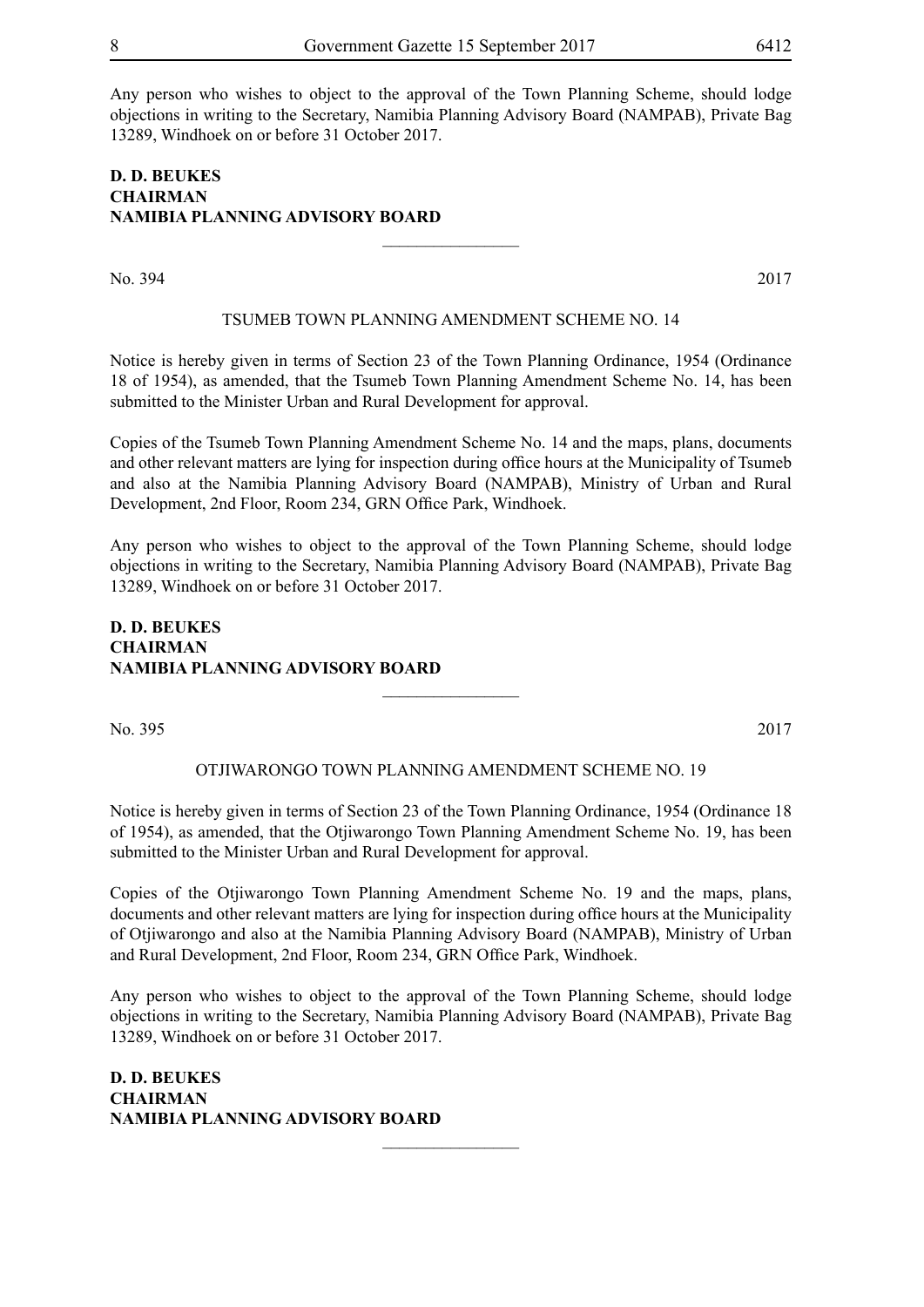Any person who wishes to object to the approval of the Town Planning Scheme, should lodge objections in writing to the Secretary, Namibia Planning Advisory Board (NAMPAB), Private Bag 13289, Windhoek on or before 31 October 2017.

### **D. D. BEUKES CHAIRMAN NAMIBIA PLANNING ADVISORY BOARD**

No. 394 2017

### TSUMEB TOWN PLANNING AMENDMENT SCHEME NO. 14

 $\overline{\phantom{a}}$  , where  $\overline{\phantom{a}}$ 

Notice is hereby given in terms of Section 23 of the Town Planning Ordinance, 1954 (Ordinance 18 of 1954), as amended, that the Tsumeb Town Planning Amendment Scheme No. 14, has been submitted to the Minister Urban and Rural Development for approval.

Copies of the Tsumeb Town Planning Amendment Scheme No. 14 and the maps, plans, documents and other relevant matters are lying for inspection during office hours at the Municipality of Tsumeb and also at the Namibia Planning Advisory Board (NAMPAB), Ministry of Urban and Rural Development, 2nd Floor, Room 234, GRN Office Park, Windhoek.

Any person who wishes to object to the approval of the Town Planning Scheme, should lodge objections in writing to the Secretary, Namibia Planning Advisory Board (NAMPAB), Private Bag 13289, Windhoek on or before 31 October 2017.

### **D. D. BEUKES CHAIRMAN NAMIBIA PLANNING ADVISORY BOARD**

No. 395 2017

### OTJIWARONGO TOWN PLANNING AMENDMENT SCHEME NO. 19

 $\frac{1}{2}$ 

Notice is hereby given in terms of Section 23 of the Town Planning Ordinance, 1954 (Ordinance 18 of 1954), as amended, that the Otjiwarongo Town Planning Amendment Scheme No. 19, has been submitted to the Minister Urban and Rural Development for approval.

Copies of the Otjiwarongo Town Planning Amendment Scheme No. 19 and the maps, plans, documents and other relevant matters are lying for inspection during office hours at the Municipality of Otjiwarongo and also at the Namibia Planning Advisory Board (NAMPAB), Ministry of Urban and Rural Development, 2nd Floor, Room 234, GRN Office Park, Windhoek.

Any person who wishes to object to the approval of the Town Planning Scheme, should lodge objections in writing to the Secretary, Namibia Planning Advisory Board (NAMPAB), Private Bag 13289, Windhoek on or before 31 October 2017.

 $\frac{1}{2}$ 

**D. D. BEUKES CHAIRMAN NAMIBIA PLANNING ADVISORY BOARD**